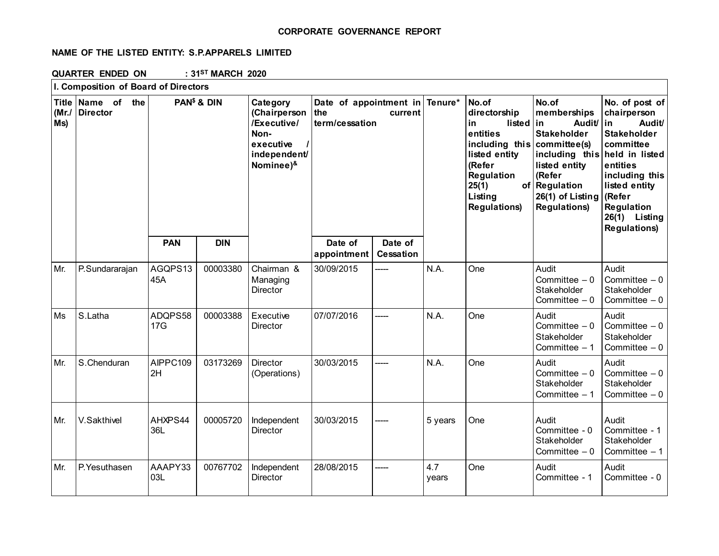## **CORPORATE GOVERNANCE REPORT**

# **NAME OF THE LISTED ENTITY: S.P.APPARELS LIMITED**

**QUARTER ENDED ON : 31ST MARCH 2020**

|             | I. Composition of Board of Directors |                         |            |                                                                                           |                                                            |                      |                                                                                                                                        |                          |                                                                                                                                                                    |                                                                                                                                                                                                                                  |
|-------------|--------------------------------------|-------------------------|------------|-------------------------------------------------------------------------------------------|------------------------------------------------------------|----------------------|----------------------------------------------------------------------------------------------------------------------------------------|--------------------------|--------------------------------------------------------------------------------------------------------------------------------------------------------------------|----------------------------------------------------------------------------------------------------------------------------------------------------------------------------------------------------------------------------------|
| (Mr.<br>Ms) | Title Name of the<br><b>Director</b> | PAN <sup>\$</sup> & DIN |            | Category<br>(Chairperson<br>/Executive/<br>Non-<br>executive<br>independent/<br>Nominee)& | Date of appointment in<br>the<br>current<br>term/cessation |                      | Tenure*<br>No.of<br>directorship<br>in<br>entities<br>listed entity<br>(Refer<br>Regulation<br>25(1)<br>Listing<br><b>Regulations)</b> | listed<br>including this | No.of<br>memberships<br>Audit/<br>in.<br><b>Stakeholder</b><br>committee(s)<br>listed entity<br>(Refer<br>of Regulation<br>26(1) of Listing<br><b>Regulations)</b> | No. of post of<br>chairperson<br>Audit/<br>in<br><b>Stakeholder</b><br>committee<br>including this held in listed<br>entities<br>including this<br>listed entity<br>(Refer<br>Regulation<br>26(1) Listing<br><b>Regulations)</b> |
|             |                                      | <b>PAN</b>              | <b>DIN</b> |                                                                                           | Date of<br>appointment                                     | Date of<br>Cessation |                                                                                                                                        |                          |                                                                                                                                                                    |                                                                                                                                                                                                                                  |
| Mr.         | P.Sundararajan                       | AGQPS13<br>45A          | 00003380   | Chairman &<br>Managing<br>Director                                                        | 30/09/2015                                                 | ----                 | N.A.                                                                                                                                   | One                      | Audit<br>Committee $-0$<br>Stakeholder<br>Committee $-0$                                                                                                           | Audit<br>Committee $-0$<br>Stakeholder<br>Committee $-0$                                                                                                                                                                         |
| Ms          | S.Latha                              | ADQPS58<br>17G          | 00003388   | Executive<br>Director                                                                     | 07/07/2016                                                 | -----                | N.A.                                                                                                                                   | One                      | Audit<br>Committee $-0$<br>Stakeholder<br>Committee $-1$                                                                                                           | Audit<br>Committee $-0$<br>Stakeholder<br>Committee $-0$                                                                                                                                                                         |
| Mr.         | S.Chenduran                          | AIPPC109<br>2H          | 03173269   | <b>Director</b><br>(Operations)                                                           | 30/03/2015                                                 | -----                | N.A.                                                                                                                                   | One                      | Audit<br>Committee $-0$<br>Stakeholder<br>Committee $-1$                                                                                                           | Audit<br>Committee $-0$<br>Stakeholder<br>Committee $-0$                                                                                                                                                                         |
| Mr.         | V.Sakthivel                          | AHXPS44<br>36L          | 00005720   | Independent<br><b>Director</b>                                                            | 30/03/2015                                                 |                      | 5 years                                                                                                                                | One                      | Audit<br>Committee - 0<br>Stakeholder<br>Committee $-0$                                                                                                            | Audit<br>Committee - 1<br>Stakeholder<br>Committee $-1$                                                                                                                                                                          |
| Mr.         | P.Yesuthasen                         | AAAPY33<br>03L          | 00767702   | Independent<br>Director                                                                   | 28/08/2015                                                 |                      | 4.7<br>years                                                                                                                           | One                      | Audit<br>Committee - 1                                                                                                                                             | Audit<br>Committee - 0                                                                                                                                                                                                           |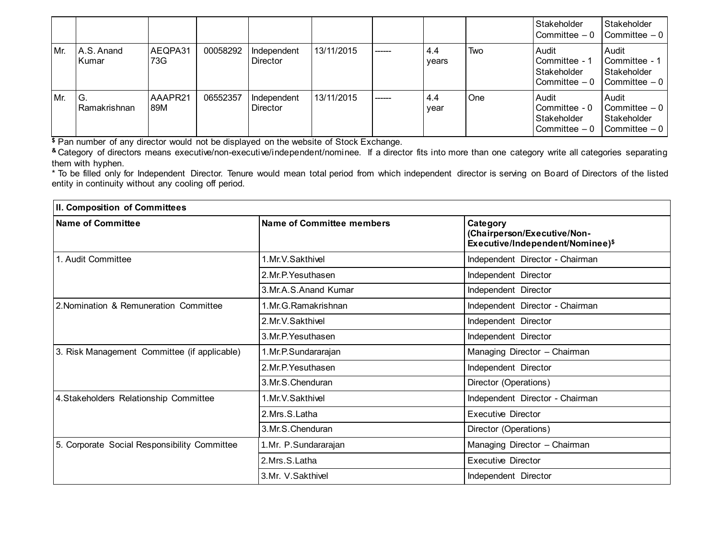|     |                        |                |          |                                |            |         |              |            | Stakeholder<br>l Committee – 0                           | Stakeholder<br>$\mathsf{I}$ Committee $-0$                                           |
|-----|------------------------|----------------|----------|--------------------------------|------------|---------|--------------|------------|----------------------------------------------------------|--------------------------------------------------------------------------------------|
| Mr. | IA.S. Anand<br>l Kumar | AEQPA31<br>73G | 00058292 | Independent<br><b>Director</b> | 13/11/2015 | ------- | 4.4<br>years | Two        | Audit<br>Committee - 1<br>Stakeholder<br>Committee $-0$  | <b>Audit</b><br><b>I</b> Committee - 1<br>Stakeholder<br>$\mathsf{I}$ Committee $-0$ |
| Mr. | IG.<br>l Ramakrishnan  | AAAPR21<br>89M | 06552357 | Independent<br><b>Director</b> | 13/11/2015 | ------  | 4.4<br>year  | <b>One</b> | Audit<br>Committee - 0<br>Stakeholder<br>l Committee – 0 | <b>Audit</b><br>l Committee – 0<br>Stakeholder<br>I Committee - 0                    |

**\$** Pan number of any director would not be displayed on the website of Stock Exchange.

**&** Category of directors means executive/non-executive/independent/nominee. If a director fits into more than one category write all categories separating them with hyphen.

\* To be filled only for Independent Director. Tenure would mean total period from which independent director is serving on Board of Directors of the listed entity in continuity without any cooling off period.

| II. Composition of Committees                |                           |                                                                             |  |  |
|----------------------------------------------|---------------------------|-----------------------------------------------------------------------------|--|--|
| <b>Name of Committee</b>                     | Name of Committee members | Category<br>(Chairperson/Executive/Non-<br>Executive/Independent/Nominee)\$ |  |  |
| 1. Audit Committee                           | 1.Mr.V.Sakthivel          | Independent Director - Chairman                                             |  |  |
|                                              | 2.Mr.P. Yesuthasen        | Independent Director                                                        |  |  |
|                                              | 3.Mr.A.S.Anand Kumar      | Independent Director                                                        |  |  |
| 2. Nomination & Remuneration Committee       | 1. Mr. G. Ramakrishnan    | Independent Director - Chairman                                             |  |  |
|                                              | 2. Mr. V. Sakthivel       | Independent Director                                                        |  |  |
|                                              | 3.Mr.P. Yesuthasen        | Independent Director                                                        |  |  |
| 3. Risk Management Committee (if applicable) | 1.Mr.P.Sundararajan       | Managing Director - Chairman                                                |  |  |
|                                              | 2. Mr. P. Yesuthasen      | Independent Director                                                        |  |  |
|                                              | 3.Mr.S.Chenduran          | Director (Operations)                                                       |  |  |
| 4. Stakeholders Relationship Committee       | 1. Mr. V. Sakthivel       | Independent Director - Chairman                                             |  |  |
|                                              | 2.Mrs.S.Latha             | <b>Executive Director</b>                                                   |  |  |
|                                              | 3. Mr. S. Chenduran       | Director (Operations)                                                       |  |  |
| 5. Corporate Social Responsibility Committee | 1.Mr. P.Sundararajan      | Managing Director - Chairman                                                |  |  |
|                                              | 2.Mrs.S.Latha             | <b>Executive Director</b>                                                   |  |  |
|                                              | 3.Mr. V.Sakthivel         | Independent Director                                                        |  |  |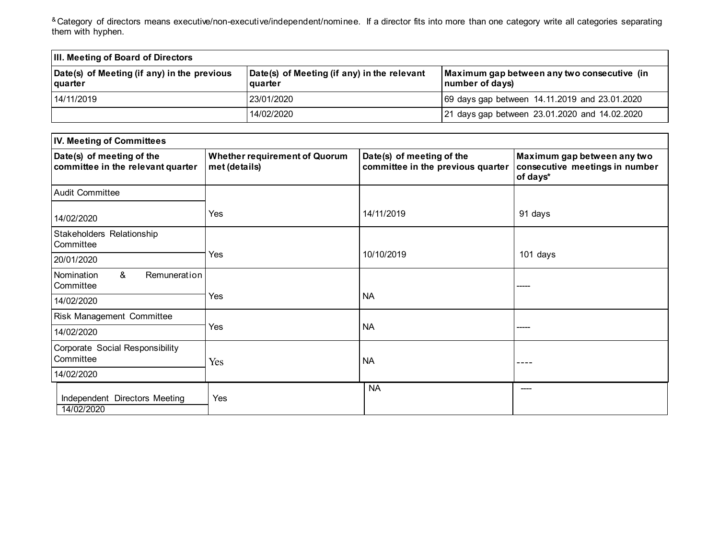<sup>&</sup> Category of directors means executive/non-executive/independent/nominee. If a director fits into more than one category write all categories separating them with hyphen.

| <b>III. Meeting of Board of Directors</b>                     |                                                        |                                                                |  |  |
|---------------------------------------------------------------|--------------------------------------------------------|----------------------------------------------------------------|--|--|
| Date(s) of Meeting (if any) in the previous<br><b>quarter</b> | Date(s) of Meeting (if any) in the relevant<br>quarter | Maximum gap between any two consecutive (in<br>number of days) |  |  |
| 14/11/2019                                                    | 123/01/2020                                            | 69 days gap between 14.11.2019 and 23.01.2020                  |  |  |
|                                                               | 14/02/2020                                             | 21 days gap between 23.01.2020 and 14.02.2020                  |  |  |

| IV. Meeting of Committees                                      |                                                       |                                                                |                                                                           |  |  |
|----------------------------------------------------------------|-------------------------------------------------------|----------------------------------------------------------------|---------------------------------------------------------------------------|--|--|
| Date(s) of meeting of the<br>committee in the relevant quarter | <b>Whether requirement of Quorum</b><br>met (details) | Date(s) of meeting of the<br>committee in the previous quarter | Maximum gap between any two<br>consecutive meetings in number<br>of days* |  |  |
| Audit Committee                                                |                                                       |                                                                |                                                                           |  |  |
| 14/02/2020                                                     | Yes                                                   | 14/11/2019                                                     | 91 days                                                                   |  |  |
| Stakeholders Relationship<br>Committee                         |                                                       |                                                                |                                                                           |  |  |
| 20/01/2020                                                     | Yes                                                   | 10/10/2019                                                     | 101 days                                                                  |  |  |
| &<br>Remuneration<br>Nomination<br>Committee                   |                                                       |                                                                |                                                                           |  |  |
| 14/02/2020                                                     | Yes                                                   | <b>NA</b>                                                      |                                                                           |  |  |
| Risk Management Committee                                      |                                                       |                                                                |                                                                           |  |  |
| 14/02/2020                                                     | Yes                                                   | <b>NA</b>                                                      |                                                                           |  |  |
| Corporate Social Responsibility<br>Committee                   | Yes                                                   | <b>NA</b>                                                      |                                                                           |  |  |
| 14/02/2020                                                     |                                                       |                                                                |                                                                           |  |  |
| Independent Directors Meeting<br>14/02/2020                    | Yes                                                   | <b>NA</b>                                                      | ----                                                                      |  |  |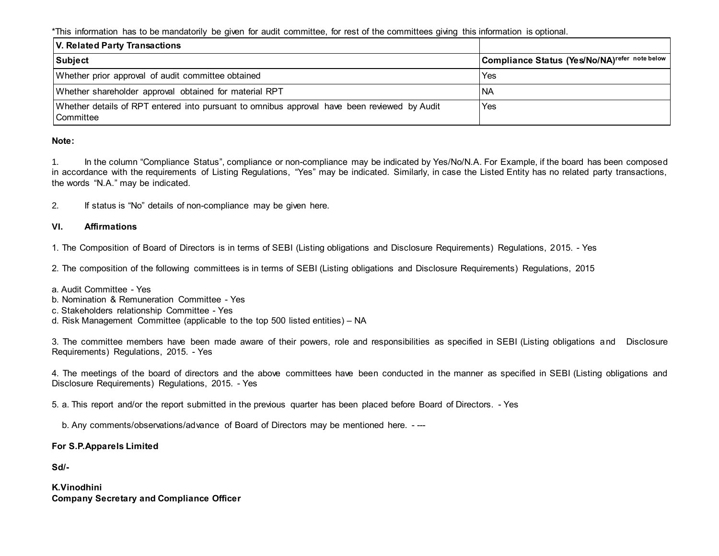\*This information has to be mandatorily be given for audit committee, for rest of the committees giving this information is optional.

| V. Related Party Transactions                                                                                    |                                               |
|------------------------------------------------------------------------------------------------------------------|-----------------------------------------------|
| Subject                                                                                                          | Compliance Status (Yes/No/NA)refer note below |
| Whether prior approval of audit committee obtained                                                               | Yes                                           |
| Whether shareholder approval obtained for material RPT                                                           | <b>NA</b>                                     |
| Whether details of RPT entered into pursuant to omnibus approval have been reviewed by Audit<br><b>Committee</b> | Yes                                           |

### **Note:**

1. In the column "Compliance Status", compliance or non-compliance may be indicated by Yes/No/N.A. For Example, if the board has been composed in accordance with the requirements of Listing Regulations, "Yes" may be indicated. Similarly, in case the Listed Entity has no related party transactions, the words "N.A." may be indicated.

2. If status is "No" details of non-compliance may be given here.

## **VI. Affirmations**

1. The Composition of Board of Directors is in terms of SEBI (Listing obligations and Disclosure Requirements) Regulations, 2015. - Yes

2. The composition of the following committees is in terms of SEBI (Listing obligations and Disclosure Requirements) Regulations, 2015

- a. Audit Committee Yes
- b. Nomination & Remuneration Committee Yes
- c. Stakeholders relationship Committee Yes
- d. Risk Management Committee (applicable to the top 500 listed entities) NA

3. The committee members have been made aware of their powers, role and responsibilities as specified in SEBI (Listing obligations and Disclosure Requirements) Regulations, 2015. - Yes

4. The meetings of the board of directors and the above committees have been conducted in the manner as specified in SEBI (Listing obligations and Disclosure Requirements) Regulations, 2015. - Yes

5. a. This report and/or the report submitted in the previous quarter has been placed before Board of Directors. - Yes

b. Any comments/observations/advance of Board of Directors may be mentioned here. - ---

### **For S.P.Apparels Limited**

**Sd/-**

**K.Vinodhini Company Secretary and Compliance Officer**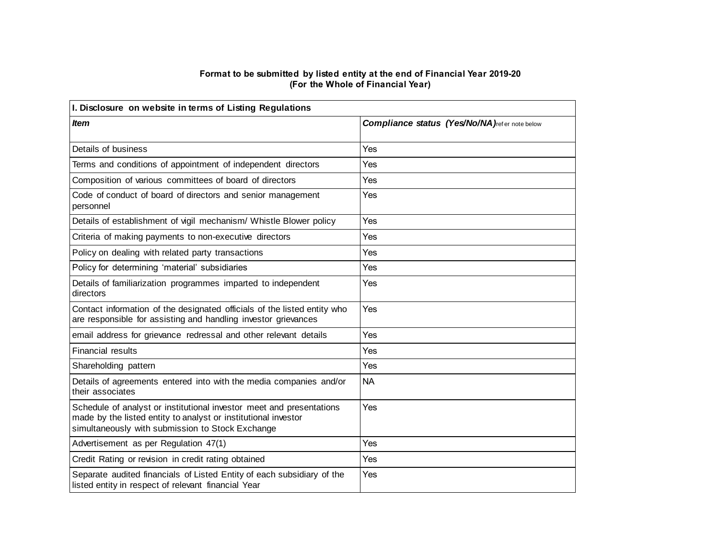#### **Format to be submitted by listed entity at the end of Financial Year 2019-20 (For the Whole of Financial Year)**

| I. Disclosure on website in terms of Listing Regulations                                                                                                                                   |                                                       |  |  |  |
|--------------------------------------------------------------------------------------------------------------------------------------------------------------------------------------------|-------------------------------------------------------|--|--|--|
| <b>Item</b>                                                                                                                                                                                | <b>Compliance status (Yes/No/NA)</b> refer note below |  |  |  |
| Details of business                                                                                                                                                                        | Yes                                                   |  |  |  |
| Terms and conditions of appointment of independent directors                                                                                                                               | Yes                                                   |  |  |  |
| Composition of various committees of board of directors                                                                                                                                    | Yes                                                   |  |  |  |
| Code of conduct of board of directors and senior management<br>personnel                                                                                                                   | Yes                                                   |  |  |  |
| Details of establishment of vigil mechanism/ Whistle Blower policy                                                                                                                         | Yes                                                   |  |  |  |
| Criteria of making payments to non-executive directors                                                                                                                                     | Yes                                                   |  |  |  |
| Policy on dealing with related party transactions                                                                                                                                          | Yes                                                   |  |  |  |
| Policy for determining 'material' subsidiaries                                                                                                                                             | Yes                                                   |  |  |  |
| Details of familiarization programmes imparted to independent<br>directors                                                                                                                 | Yes                                                   |  |  |  |
| Contact information of the designated officials of the listed entity who<br>are responsible for assisting and handling investor grievances                                                 | Yes                                                   |  |  |  |
| email address for grievance redressal and other relevant details                                                                                                                           | Yes                                                   |  |  |  |
| <b>Financial results</b>                                                                                                                                                                   | Yes                                                   |  |  |  |
| Shareholding pattern                                                                                                                                                                       | Yes                                                   |  |  |  |
| Details of agreements entered into with the media companies and/or<br>their associates                                                                                                     | <b>NA</b>                                             |  |  |  |
| Schedule of analyst or institutional investor meet and presentations<br>made by the listed entity to analyst or institutional investor<br>simultaneously with submission to Stock Exchange | Yes                                                   |  |  |  |
| Advertisement as per Regulation 47(1)                                                                                                                                                      | Yes                                                   |  |  |  |
| Credit Rating or revision in credit rating obtained                                                                                                                                        | Yes                                                   |  |  |  |
| Separate audited financials of Listed Entity of each subsidiary of the<br>listed entity in respect of relevant financial Year                                                              | Yes                                                   |  |  |  |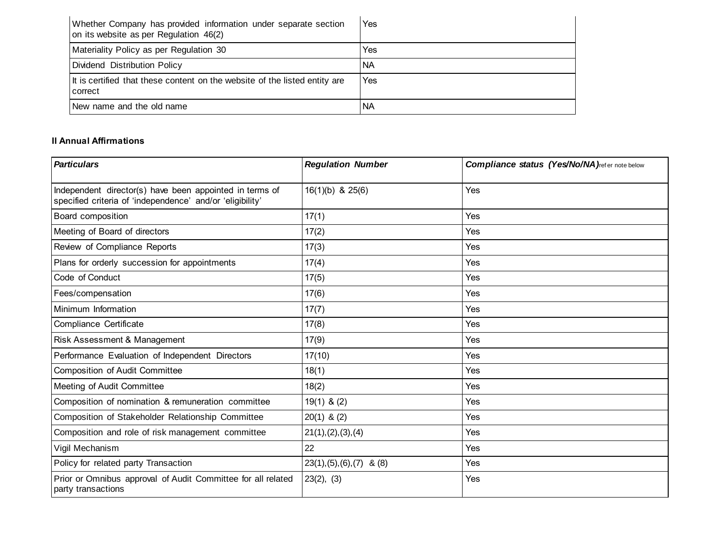| Whether Company has provided information under separate section<br>on its website as per Regulation 46(2) | Yes       |
|-----------------------------------------------------------------------------------------------------------|-----------|
| Materiality Policy as per Regulation 30                                                                   | Yes       |
| Dividend Distribution Policy                                                                              | <b>NA</b> |
| It is certified that these content on the website of the listed entity are<br>correct                     | Yes       |
| New name and the old name                                                                                 | <b>NA</b> |

# **II Annual Affirmations**

| <b>Particulars</b>                                                                                                   | <b>Regulation Number</b>       | <b>Compliance status (Yes/No/NA)</b> refer note below |
|----------------------------------------------------------------------------------------------------------------------|--------------------------------|-------------------------------------------------------|
| Independent director(s) have been appointed in terms of<br>specified criteria of 'independence' and/or 'eligibility' | $16(1)(b)$ & $25(6)$           | Yes                                                   |
| Board composition                                                                                                    | 17(1)                          | Yes                                                   |
| Meeting of Board of directors                                                                                        | 17(2)                          | Yes                                                   |
| Review of Compliance Reports                                                                                         | 17(3)                          | Yes                                                   |
| Plans for orderly succession for appointments                                                                        | 17(4)                          | Yes                                                   |
| Code of Conduct                                                                                                      | 17(5)                          | Yes                                                   |
| Fees/compensation                                                                                                    | 17(6)                          | Yes                                                   |
| Minimum Information                                                                                                  | 17(7)                          | Yes                                                   |
| Compliance Certificate                                                                                               | 17(8)                          | Yes                                                   |
| Risk Assessment & Management                                                                                         | 17(9)                          | Yes                                                   |
| Performance Evaluation of Independent Directors                                                                      | 17(10)                         | Yes                                                   |
| <b>Composition of Audit Committee</b>                                                                                | 18(1)                          | Yes                                                   |
| Meeting of Audit Committee                                                                                           | 18(2)                          | Yes                                                   |
| Composition of nomination & remuneration committee                                                                   | $19(1)$ & (2)                  | Yes                                                   |
| Composition of Stakeholder Relationship Committee                                                                    | $20(1)$ & $(2)$                | Yes                                                   |
| Composition and role of risk management committee                                                                    | 21(1), (2), (3), (4)           | Yes                                                   |
| Vigil Mechanism                                                                                                      | 22                             | Yes                                                   |
| Policy for related party Transaction                                                                                 | $23(1), (5), (6), (7)$ & $(8)$ | Yes                                                   |
| Prior or Omnibus approval of Audit Committee for all related<br>party transactions                                   | 23(2), (3)                     | Yes                                                   |